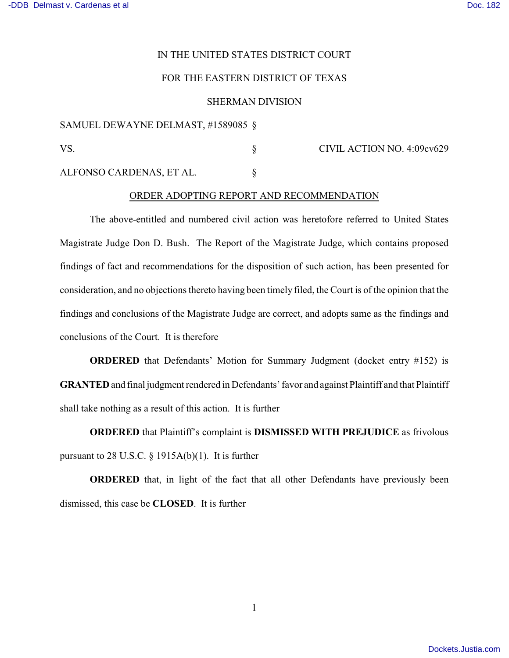# IN THE UNITED STATES DISTRICT COURT

## FOR THE EASTERN DISTRICT OF TEXAS

#### SHERMAN DIVISION

### SAMUEL DEWAYNE DELMAST, #1589085 §

VS. S CIVIL ACTION NO. 4:09cv629

ALFONSO CARDENAS, ET AL. §

#### ORDER ADOPTING REPORT AND RECOMMENDATION

The above-entitled and numbered civil action was heretofore referred to United States Magistrate Judge Don D. Bush. The Report of the Magistrate Judge, which contains proposed findings of fact and recommendations for the disposition of such action, has been presented for consideration, and no objections thereto having been timely filed, the Court is of the opinion that the findings and conclusions of the Magistrate Judge are correct, and adopts same as the findings and conclusions of the Court. It is therefore

**ORDERED** that Defendants' Motion for Summary Judgment (docket entry #152) is **GRANTED** and final judgment rendered in Defendants' favor and against Plaintiff and that Plaintiff shall take nothing as a result of this action. It is further

**ORDERED** that Plaintiff's complaint is **DISMISSED WITH PREJUDICE** as frivolous pursuant to  $28$  U.S.C. § 1915A(b)(1). It is further

**ORDERED** that, in light of the fact that all other Defendants have previously been dismissed, this case be **CLOSED**. It is further